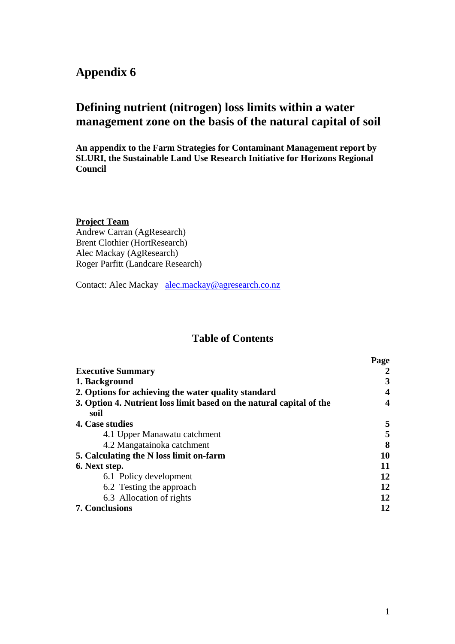## **Appendix 6**

# **Defining nutrient (nitrogen) loss limits within a water management zone on the basis of the natural capital of soil**

**An appendix to the Farm Strategies for Contaminant Management report by SLURI, the Sustainable Land Use Research Initiative for Horizons Regional Council** 

#### **Project Team**

Andrew Carran (AgResearch) Brent Clothier (HortResearch) Alec Mackay (AgResearch) Roger Parfitt (Landcare Research)

Contact: Alec Mackay alec.mackay@agresearch.co.nz

## **Table of Contents**

|                                                                      | Page |
|----------------------------------------------------------------------|------|
| <b>Executive Summary</b>                                             |      |
| 1. Background                                                        | 3    |
| 2. Options for achieving the water quality standard                  | 4    |
| 3. Option 4. Nutrient loss limit based on the natural capital of the | 4    |
| soil                                                                 |      |
| 4. Case studies                                                      | 5    |
| 4.1 Upper Manawatu catchment                                         | 5    |
| 4.2 Mangatainoka catchment                                           | 8    |
| 5. Calculating the N loss limit on-farm                              | 10   |
| 6. Next step.                                                        | 11   |
| 6.1 Policy development                                               | 12   |
| 6.2 Testing the approach                                             | 12   |
| 6.3 Allocation of rights                                             | 12   |
| <b>7. Conclusions</b>                                                | 12   |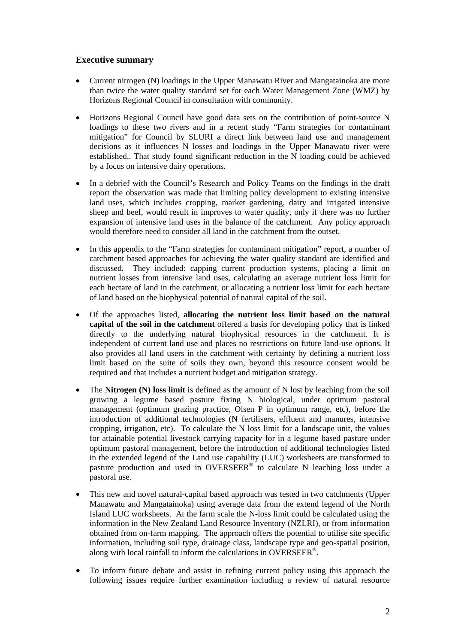#### **Executive summary**

- Current nitrogen (N) loadings in the Upper Manawatu River and Mangatainoka are more than twice the water quality standard set for each Water Management Zone (WMZ) by Horizons Regional Council in consultation with community.
- Horizons Regional Council have good data sets on the contribution of point-source N loadings to these two rivers and in a recent study "Farm strategies for contaminant mitigation" for Council by SLURI a direct link between land use and management decisions as it influences N losses and loadings in the Upper Manawatu river were established.. That study found significant reduction in the N loading could be achieved by a focus on intensive dairy operations.
- In a debrief with the Council's Research and Policy Teams on the findings in the draft report the observation was made that limiting policy development to existing intensive land uses, which includes cropping, market gardening, dairy and irrigated intensive sheep and beef, would result in improves to water quality, only if there was no further expansion of intensive land uses in the balance of the catchment. Any policy approach would therefore need to consider all land in the catchment from the outset.
- In this appendix to the "Farm strategies for contaminant mitigation" report, a number of catchment based approaches for achieving the water quality standard are identified and discussed. They included: capping current production systems, placing a limit on nutrient losses from intensive land uses, calculating an average nutrient loss limit for each hectare of land in the catchment, or allocating a nutrient loss limit for each hectare of land based on the biophysical potential of natural capital of the soil.
- Of the approaches listed, **allocating the nutrient loss limit based on the natural capital of the soil in the catchment** offered a basis for developing policy that is linked directly to the underlying natural biophysical resources in the catchment. It is independent of current land use and places no restrictions on future land-use options. It also provides all land users in the catchment with certainty by defining a nutrient loss limit based on the suite of soils they own, beyond this resource consent would be required and that includes a nutrient budget and mitigation strategy.
- The **Nitrogen (N) loss limit** is defined as the amount of N lost by leaching from the soil growing a legume based pasture fixing N biological, under optimum pastoral management (optimum grazing practice, Olsen P in optimum range, etc), before the introduction of additional technologies (N fertilisers, effluent and manures, intensive cropping, irrigation, etc). To calculate the N loss limit for a landscape unit, the values for attainable potential livestock carrying capacity for in a legume based pasture under optimum pastoral management, before the introduction of additional technologies listed in the extended legend of the Land use capability (LUC) worksheets are transformed to pasture production and used in OVERSEER® to calculate N leaching loss under a pastoral use.
- This new and novel natural-capital based approach was tested in two catchments (Upper Manawatu and Mangatainoka) using average data from the extend legend of the North Island LUC worksheets. At the farm scale the N-loss limit could be calculated using the information in the New Zealand Land Resource Inventory (NZLRI), or from information obtained from on-farm mapping. The approach offers the potential to utilise site specific information, including soil type, drainage class, landscape type and geo-spatial position, along with local rainfall to inform the calculations in OVERSEER®.
- To inform future debate and assist in refining current policy using this approach the following issues require further examination including a review of natural resource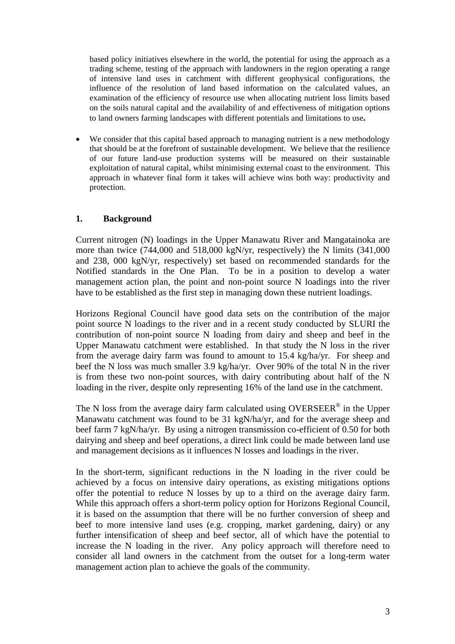based policy initiatives elsewhere in the world, the potential for using the approach as a trading scheme, testing of the approach with landowners in the region operating a range of intensive land uses in catchment with different geophysical configurations, the influence of the resolution of land based information on the calculated values, an examination of the efficiency of resource use when allocating nutrient loss limits based on the soils natural capital and the availability of and effectiveness of mitigation options to land owners farming landscapes with different potentials and limitations to use**.** 

We consider that this capital based approach to managing nutrient is a new methodology that should be at the forefront of sustainable development. We believe that the resilience of our future land-use production systems will be measured on their sustainable exploitation of natural capital, whilst minimising external coast to the environment. This approach in whatever final form it takes will achieve wins both way: productivity and protection.

## **1. Background**

Current nitrogen (N) loadings in the Upper Manawatu River and Mangatainoka are more than twice (744,000 and 518,000 kgN/yr, respectively) the N limits (341,000 and 238, 000 kgN/yr, respectively) set based on recommended standards for the Notified standards in the One Plan. To be in a position to develop a water management action plan, the point and non-point source N loadings into the river have to be established as the first step in managing down these nutrient loadings.

Horizons Regional Council have good data sets on the contribution of the major point source N loadings to the river and in a recent study conducted by SLURI the contribution of non-point source N loading from dairy and sheep and beef in the Upper Manawatu catchment were established. In that study the N loss in the river from the average dairy farm was found to amount to 15.4 kg/ha/yr. For sheep and beef the N loss was much smaller 3.9 kg/ha/yr. Over 90% of the total N in the river is from these two non-point sources, with dairy contributing about half of the N loading in the river, despite only representing 16% of the land use in the catchment.

The N loss from the average dairy farm calculated using OVERSEER<sup>®</sup> in the Upper Manawatu catchment was found to be 31 kgN/ha/yr, and for the average sheep and beef farm 7 kgN/ha/yr. By using a nitrogen transmission co-efficient of 0.50 for both dairying and sheep and beef operations, a direct link could be made between land use and management decisions as it influences N losses and loadings in the river.

In the short-term, significant reductions in the N loading in the river could be achieved by a focus on intensive dairy operations, as existing mitigations options offer the potential to reduce N losses by up to a third on the average dairy farm. While this approach offers a short-term policy option for Horizons Regional Council, it is based on the assumption that there will be no further conversion of sheep and beef to more intensive land uses (e.g. cropping, market gardening, dairy) or any further intensification of sheep and beef sector, all of which have the potential to increase the N loading in the river. Any policy approach will therefore need to consider all land owners in the catchment from the outset for a long-term water management action plan to achieve the goals of the community.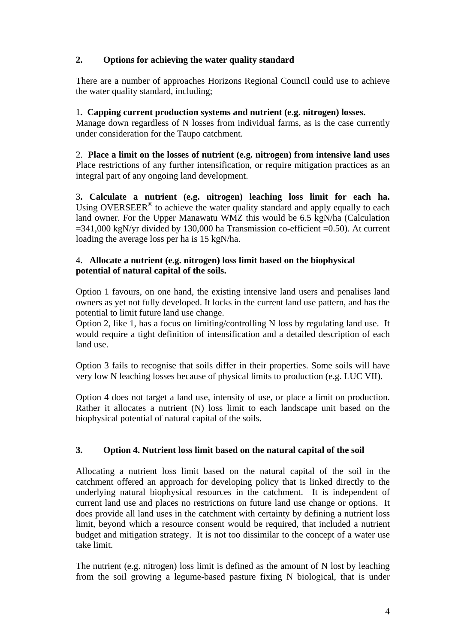## **2. Options for achieving the water quality standard**

There are a number of approaches Horizons Regional Council could use to achieve the water quality standard, including;

### 1**. Capping current production systems and nutrient (e.g. nitrogen) losses.**

Manage down regardless of N losses from individual farms, as is the case currently under consideration for the Taupo catchment.

2. **Place a limit on the losses of nutrient (e.g. nitrogen) from intensive land uses** Place restrictions of any further intensification, or require mitigation practices as an integral part of any ongoing land development.

3**. Calculate a nutrient (e.g. nitrogen) leaching loss limit for each ha.**  Using OVERSEER<sup>®</sup> to achieve the water quality standard and apply equally to each land owner. For the Upper Manawatu WMZ this would be 6.5 kgN/ha (Calculation  $=341,000$  kgN/yr divided by 130,000 ha Transmission co-efficient  $=0.50$ ). At current loading the average loss per ha is 15 kgN/ha.

#### 4. **Allocate a nutrient (e.g. nitrogen) loss limit based on the biophysical potential of natural capital of the soils.**

Option 1 favours, on one hand, the existing intensive land users and penalises land owners as yet not fully developed. It locks in the current land use pattern, and has the potential to limit future land use change.

Option 2, like 1, has a focus on limiting/controlling N loss by regulating land use. It would require a tight definition of intensification and a detailed description of each land use.

Option 3 fails to recognise that soils differ in their properties. Some soils will have very low N leaching losses because of physical limits to production (e.g. LUC VII).

Option 4 does not target a land use, intensity of use, or place a limit on production. Rather it allocates a nutrient (N) loss limit to each landscape unit based on the biophysical potential of natural capital of the soils.

## **3. Option 4. Nutrient loss limit based on the natural capital of the soil**

Allocating a nutrient loss limit based on the natural capital of the soil in the catchment offered an approach for developing policy that is linked directly to the underlying natural biophysical resources in the catchment. It is independent of current land use and places no restrictions on future land use change or options. It does provide all land uses in the catchment with certainty by defining a nutrient loss limit, beyond which a resource consent would be required, that included a nutrient budget and mitigation strategy. It is not too dissimilar to the concept of a water use take limit.

The nutrient (e.g. nitrogen) loss limit is defined as the amount of N lost by leaching from the soil growing a legume-based pasture fixing N biological, that is under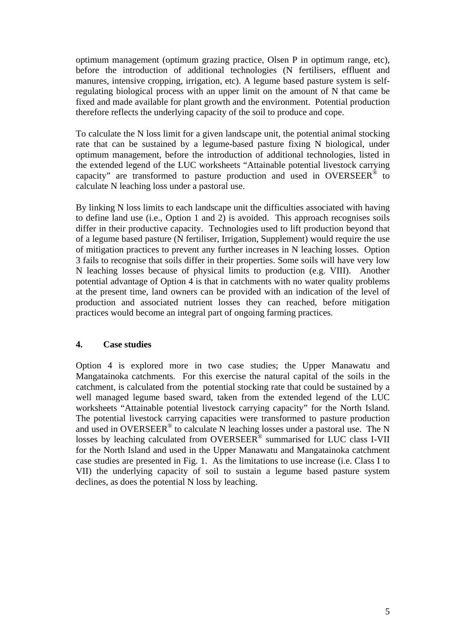optimum management (optimum grazing practice, Olsen P in optimum range, etc), before the introduction of additional technologies (N fertilisers, effluent and manures, intensive cropping, irrigation, etc). A legume based pasture system is selfregulating biological process with an upper limit on the amount of N that came be fixed and made available for plant growth and the environment. Potential production therefore reflects the underlying capacity of the soil to produce and cope.

To calculate the N loss limit for a given landscape unit, the potential animal stocking rate that can be sustained by a legume-based pasture fixing N biological, under optimum management, before the introduction of additional technologies, listed in the extended legend of the LUC worksheets "Attainable potential livestock carrying capacity" are transformed to pasture production and used in OVERSEER<sup>®</sup> to calculate N leaching loss under a pastoral use.

By linking N loss limits to each landscape unit the difficulties associated with having to define land use (i.e., Option 1 and 2) is avoided. This approach recognises soils differ in their productive capacity. Technologies used to lift production beyond that of a legume based pasture (N fertiliser, Irrigation, Supplement) would require the use of mitigation practices to prevent any further increases in N leaching losses. Option 3 fails to recognise that soils differ in their properties. Some soils will have very low N leaching losses because of physical limits to production (e.g. VIII). Another potential advantage of Option 4 is that in catchments with no water quality problems at the present time, land owners can be provided with an indication of the level of production and associated nutrient losses they can reached, before mitigation practices would become an integral part of ongoing farming practices.

#### **4. Case studies**

Option 4 is explored more in two case studies; the Upper Manawatu and Mangatainoka catchments. For this exercise the natural capital of the soils in the catchment, is calculated from the potential stocking rate that could be sustained by a well managed legume based sward, taken from the extended legend of the LUC worksheets "Attainable potential livestock carrying capacity" for the North Island. The potential livestock carrying capacities were transformed to pasture production and used in OVERSEER® to calculate N leaching losses under a pastoral use. The N losses by leaching calculated from OVERSEER<sup>®</sup> summarised for LUC class I-VII for the North Island and used in the Upper Manawatu and Mangatainoka catchment case studies are presented in Fig. 1. As the limitations to use increase (i.e. Class I to VII) the underlying capacity of soil to sustain a legume based pasture system declines, as does the potential N loss by leaching.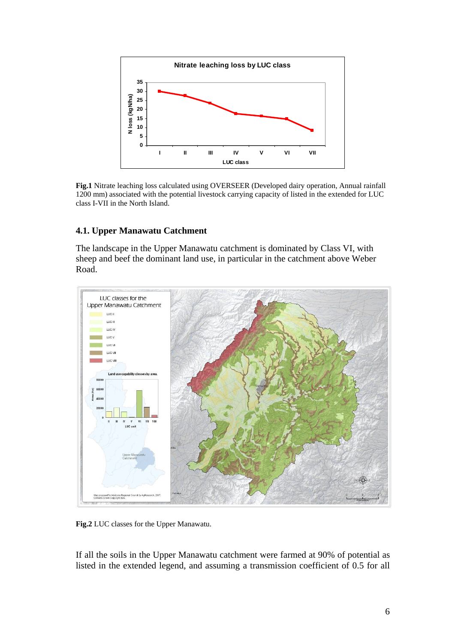

**Fig.1** Nitrate leaching loss calculated using OVERSEER (Developed dairy operation, Annual rainfall 1200 mm) associated with the potential livestock carrying capacity of listed in the extended for LUC class I-VII in the North Island.

#### **4.1. Upper Manawatu Catchment**

The landscape in the Upper Manawatu catchment is dominated by Class VI, with sheep and beef the dominant land use, in particular in the catchment above Weber Road.



**Fig.2** LUC classes for the Upper Manawatu.

If all the soils in the Upper Manawatu catchment were farmed at 90% of potential as listed in the extended legend, and assuming a transmission coefficient of 0.5 for all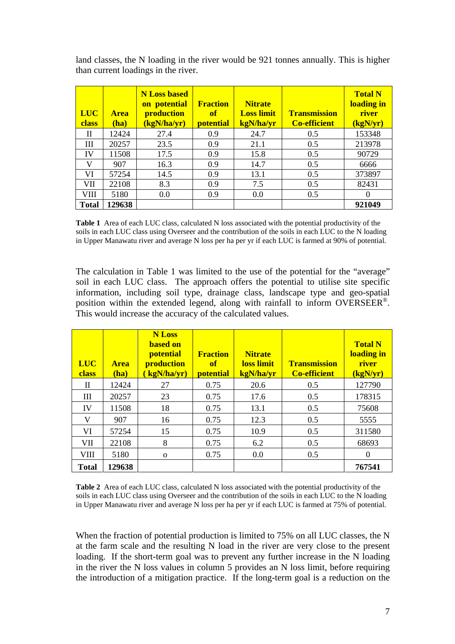| <b>LUC</b><br><b>class</b> | <b>Area</b><br>(ha) | <b>N</b> Loss based<br>on potential<br>production<br>kgN/ha/yr) | <b>Fraction</b><br>of<br><b>potential</b> | <b>Nitrate</b><br><b>Loss limit</b><br>kgN/ha/yr | <b>Transmission</b><br><b>Co-efficient</b> | <b>Total N</b><br>loading in<br>river<br>(kgN/yr) |
|----------------------------|---------------------|-----------------------------------------------------------------|-------------------------------------------|--------------------------------------------------|--------------------------------------------|---------------------------------------------------|
| H                          | 12424               | 27.4                                                            | 0.9                                       | 24.7                                             | 0.5                                        | 153348                                            |
| Ш                          | 20257               | 23.5                                                            | 0.9                                       | 21.1                                             | 0.5                                        | 213978                                            |
| IV                         | 11508               | 17.5                                                            | 0.9                                       | 15.8                                             | 0.5                                        | 90729                                             |
| V                          | 907                 | 16.3                                                            | 0.9                                       | 14.7                                             | 0.5                                        | 6666                                              |
| VI                         | 57254               | 14.5                                                            | 0.9                                       | 13.1                                             | 0.5                                        | 373897                                            |
| VII                        | 22108               | 8.3                                                             | 0.9                                       | 7.5                                              | 0.5                                        | 82431                                             |
| VIII                       | 5180                | 0.0                                                             | 0.9                                       | 0.0                                              | 0.5                                        | 0                                                 |
| <b>Total</b>               | 129638              |                                                                 |                                           |                                                  |                                            | 921049                                            |

land classes, the N loading in the river would be 921 tonnes annually. This is higher than current loadings in the river.

**Table 1** Area of each LUC class, calculated N loss associated with the potential productivity of the soils in each LUC class using Overseer and the contribution of the soils in each LUC to the N loading in Upper Manawatu river and average N loss per ha per yr if each LUC is farmed at 90% of potential.

The calculation in Table 1 was limited to the use of the potential for the "average" soil in each LUC class. The approach offers the potential to utilise site specific information, including soil type, drainage class, landscape type and geo-spatial position within the extended legend, along with rainfall to inform OVERSEER®. This would increase the accuracy of the calculated values.

| <b>LUC</b><br>class | <b>Area</b><br>(ha) | <b>N</b> Loss<br><b>based on</b><br><b>potential</b><br>production<br>(kgN/ha/yr) | <b>Fraction</b><br>of<br><b>potential</b> | <b>Nitrate</b><br>loss limit<br>kgN/ha/yr | <b>Transmission</b><br><b>Co-efficient</b> | <b>Total N</b><br>loading in<br>river<br>(kgN/yr) |
|---------------------|---------------------|-----------------------------------------------------------------------------------|-------------------------------------------|-------------------------------------------|--------------------------------------------|---------------------------------------------------|
| $\mathbf{I}$        | 12424               | 27                                                                                | 0.75                                      | 20.6                                      | 0.5                                        | 127790                                            |
| III                 | 20257               | 23                                                                                | 0.75                                      | 17.6                                      | 0.5                                        | 178315                                            |
| IV                  | 11508               | 18                                                                                | 0.75                                      | 13.1                                      | 0.5                                        | 75608                                             |
| V                   | 907                 | 16                                                                                | 0.75                                      | 12.3                                      | 0.5                                        | 5555                                              |
| VI                  | 57254               | 15                                                                                | 0.75                                      | 10.9                                      | 0.5                                        | 311580                                            |
| VII                 | 22108               | 8                                                                                 | 0.75                                      | 6.2                                       | 0.5                                        | 68693                                             |
| VIII                | 5180                | $\Omega$                                                                          | 0.75                                      | 0.0                                       | 0.5                                        | $\Omega$                                          |
| <b>Total</b>        | 129638              |                                                                                   |                                           |                                           |                                            | 767541                                            |

**Table 2** Area of each LUC class, calculated N loss associated with the potential productivity of the soils in each LUC class using Overseer and the contribution of the soils in each LUC to the N loading in Upper Manawatu river and average N loss per ha per yr if each LUC is farmed at 75% of potential.

When the fraction of potential production is limited to 75% on all LUC classes, the N at the farm scale and the resulting N load in the river are very close to the present loading. If the short-term goal was to prevent any further increase in the N loading in the river the N loss values in column 5 provides an N loss limit, before requiring the introduction of a mitigation practice. If the long-term goal is a reduction on the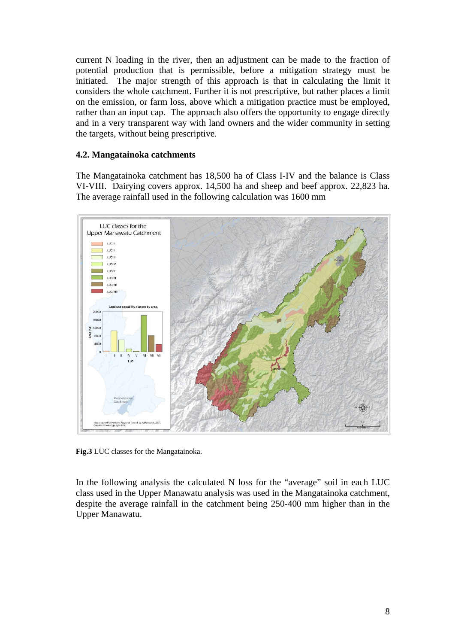current N loading in the river, then an adjustment can be made to the fraction of potential production that is permissible, before a mitigation strategy must be initiated. The major strength of this approach is that in calculating the limit it considers the whole catchment. Further it is not prescriptive, but rather places a limit on the emission, or farm loss, above which a mitigation practice must be employed, rather than an input cap. The approach also offers the opportunity to engage directly and in a very transparent way with land owners and the wider community in setting the targets, without being prescriptive.

#### **4.2. Mangatainoka catchments**

The Mangatainoka catchment has 18,500 ha of Class I-IV and the balance is Class VI-VIII. Dairying covers approx. 14,500 ha and sheep and beef approx. 22,823 ha. The average rainfall used in the following calculation was 1600 mm



**Fig.3** LUC classes for the Mangatainoka.

In the following analysis the calculated N loss for the "average" soil in each LUC class used in the Upper Manawatu analysis was used in the Mangatainoka catchment, despite the average rainfall in the catchment being 250-400 mm higher than in the Upper Manawatu.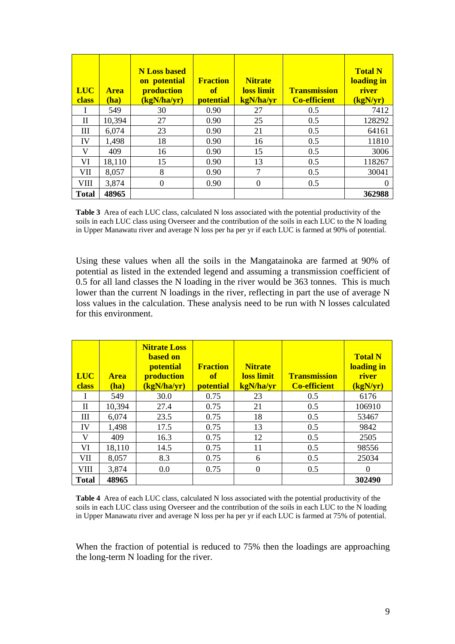| <b>LUC</b><br>class | <b>Area</b><br>(ha) | <b>N</b> Loss based<br>on potential<br>production<br>(kgN/ha/yr) | <b>Fraction</b><br>of<br><b>potential</b> | <b>Nitrate</b><br>loss limit<br>kgN/ha/yr | <b>Transmission</b><br><b>Co-efficient</b> | <b>Total N</b><br>loading in<br>river<br>(kgN/yr) |
|---------------------|---------------------|------------------------------------------------------------------|-------------------------------------------|-------------------------------------------|--------------------------------------------|---------------------------------------------------|
| L                   | 549                 | 30                                                               | 0.90                                      | 27                                        | 0.5                                        | 7412                                              |
| H                   | 10,394              | 27                                                               | 0.90                                      | 25                                        | 0.5                                        | 128292                                            |
| Ш                   | 6,074               | 23                                                               | 0.90                                      | 21                                        | 0.5                                        | 64161                                             |
| IV                  | 1,498               | 18                                                               | 0.90                                      | 16                                        | 0.5                                        | 11810                                             |
| V                   | 409                 | 16                                                               | 0.90                                      | 15                                        | 0.5                                        | 3006                                              |
| VI                  | 18,110              | 15                                                               | 0.90                                      | 13                                        | 0.5                                        | 118267                                            |
| VII                 | 8,057               | 8                                                                | 0.90                                      | 7                                         | 0.5                                        | 30041                                             |
| VIII                | 3,874               | $\overline{0}$                                                   | 0.90                                      | $\theta$                                  | 0.5                                        | 0                                                 |
| <b>Total</b>        | 48965               |                                                                  |                                           |                                           |                                            | 362988                                            |

**Table 3** Area of each LUC class, calculated N loss associated with the potential productivity of the soils in each LUC class using Overseer and the contribution of the soils in each LUC to the N loading in Upper Manawatu river and average N loss per ha per yr if each LUC is farmed at 90% of potential.

Using these values when all the soils in the Mangatainoka are farmed at 90% of potential as listed in the extended legend and assuming a transmission coefficient of 0.5 for all land classes the N loading in the river would be 363 tonnes. This is much lower than the current N loadings in the river, reflecting in part the use of average N loss values in the calculation. These analysis need to be run with N losses calculated for this environment.

| <b>LUC</b><br><b>class</b> | <b>Area</b><br>(ha) | <b>Nitrate Loss</b><br><b>based on</b><br><b>potential</b><br>production<br>(kgN/ha/yr) | <b>Fraction</b><br>of<br><b>potential</b> | <b>Nitrate</b><br>loss limit<br>kgN/ha/yr | <b>Transmission</b><br><b>Co-efficient</b> | <b>Total N</b><br>loading in<br>river<br>(kgN/yr) |
|----------------------------|---------------------|-----------------------------------------------------------------------------------------|-------------------------------------------|-------------------------------------------|--------------------------------------------|---------------------------------------------------|
|                            | 549                 | 30.0                                                                                    | 0.75                                      | 23                                        | 0.5                                        | 6176                                              |
| П                          | 10,394              | 27.4                                                                                    | 0.75                                      | 21                                        | 0.5                                        | 106910                                            |
| III                        | 6,074               | 23.5                                                                                    | 0.75                                      | 18                                        | 0.5                                        | 53467                                             |
| IV                         | 1,498               | 17.5                                                                                    | 0.75                                      | 13                                        | 0.5                                        | 9842                                              |
| V                          | 409                 | 16.3                                                                                    | 0.75                                      | 12                                        | 0.5                                        | 2505                                              |
| VI                         | 18,110              | 14.5                                                                                    | 0.75                                      | 11                                        | 0.5                                        | 98556                                             |
| VII                        | 8,057               | 8.3                                                                                     | 0.75                                      | 6                                         | 0.5                                        | 25034                                             |
| VIII                       | 3,874               | 0.0                                                                                     | 0.75                                      | $\theta$                                  | 0.5                                        | $\Omega$                                          |
| <b>Total</b>               | 48965               |                                                                                         |                                           |                                           |                                            | 302490                                            |

**Table 4** Area of each LUC class, calculated N loss associated with the potential productivity of the soils in each LUC class using Overseer and the contribution of the soils in each LUC to the N loading in Upper Manawatu river and average N loss per ha per yr if each LUC is farmed at 75% of potential.

When the fraction of potential is reduced to 75% then the loadings are approaching the long-term N loading for the river.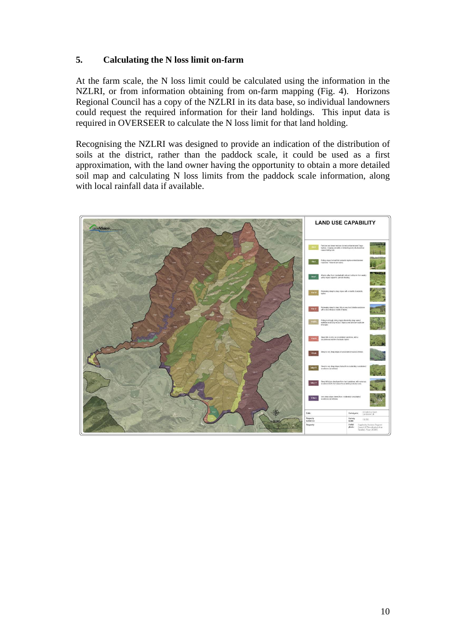#### **5. Calculating the N loss limit on-farm**

At the farm scale, the N loss limit could be calculated using the information in the NZLRI, or from information obtaining from on-farm mapping (Fig. 4). Horizons Regional Council has a copy of the NZLRI in its data base, so individual landowners could request the required information for their land holdings. This input data is required in OVERSEER to calculate the N loss limit for that land holding.

Recognising the NZLRI was designed to provide an indication of the distribution of soils at the district, rather than the paddock scale, it could be used as a first approximation, with the land owner having the opportunity to obtain a more detailed soil map and calculating N loss limits from the paddock scale information, along with local rainfall data if available.

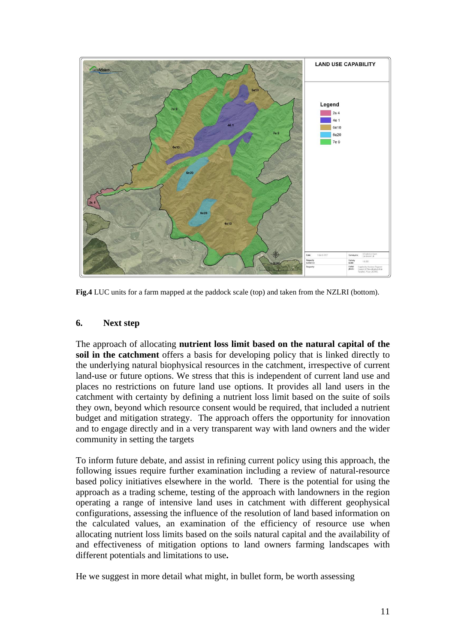

**Fig.4** LUC units for a farm mapped at the paddock scale (top) and taken from the NZLRI (bottom).

#### **6. Next step**

The approach of allocating **nutrient loss limit based on the natural capital of the soil in the catchment** offers a basis for developing policy that is linked directly to the underlying natural biophysical resources in the catchment, irrespective of current land-use or future options. We stress that this is independent of current land use and places no restrictions on future land use options. It provides all land users in the catchment with certainty by defining a nutrient loss limit based on the suite of soils they own, beyond which resource consent would be required, that included a nutrient budget and mitigation strategy. The approach offers the opportunity for innovation and to engage directly and in a very transparent way with land owners and the wider community in setting the targets

To inform future debate, and assist in refining current policy using this approach, the following issues require further examination including a review of natural-resource based policy initiatives elsewhere in the world. There is the potential for using the approach as a trading scheme, testing of the approach with landowners in the region operating a range of intensive land uses in catchment with different geophysical configurations, assessing the influence of the resolution of land based information on the calculated values, an examination of the efficiency of resource use when allocating nutrient loss limits based on the soils natural capital and the availability of and effectiveness of mitigation options to land owners farming landscapes with different potentials and limitations to use**.** 

He we suggest in more detail what might, in bullet form, be worth assessing